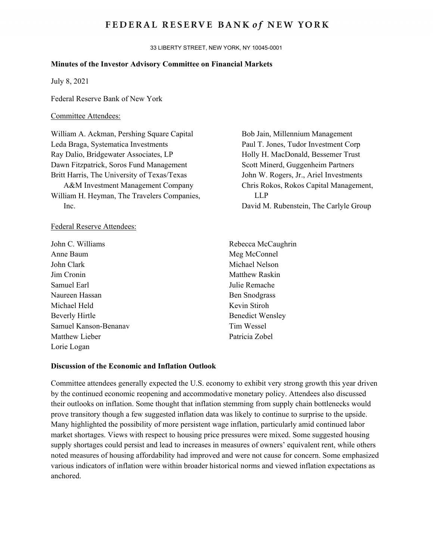## **FEDERAL RESERVE BANK of NEW YORK**

33 LIBERTY STREET, NEW YORK, NY 10045-0001

#### **Minutes of the Investor Advisory Committee on Financial Markets**

July 8, 2021

Federal Reserve Bank of New York

## Committee Attendees:

William A. Ackman, Pershing Square Capital Leda Braga, Systematica Investments Ray Dalio, Bridgewater Associates, LP Dawn Fitzpatrick, Soros Fund Management Britt Harris, The University of Texas/Texas A&M Investment Management Company William H. Heyman, The Travelers Companies, Inc.

#### Federal Reserve Attendees:

John C. Williams Anne Baum John Clark Jim Cronin Samuel Earl Naureen Hassan Michael Held Beverly Hirtle Samuel Kanson-Benanav Matthew Lieber Lorie Logan

Bob Jain, Millennium Management Paul T. Jones, Tudor Investment Corp Holly H. MacDonald, Bessemer Trust Scott Minerd, Guggenheim Partners John W. Rogers, Jr., Ariel Investments Chris Rokos, Rokos Capital Management, LLP David M. Rubenstein, The Carlyle Group

Rebecca McCaughrin Meg McConnel Michael Nelson Matthew Raskin Julie Remache Ben Snodgrass Kevin Stiroh Benedict Wensley Tim Wessel Patricia Zobel

#### **Discussion of the Economic and Inflation Outlook**

Committee attendees generally expected the U.S. economy to exhibit very strong growth this year driven by the continued economic reopening and accommodative monetary policy. Attendees also discussed their outlooks on inflation. Some thought that inflation stemming from supply chain bottlenecks would prove transitory though a few suggested inflation data was likely to continue to surprise to the upside. Many highlighted the possibility of more persistent wage inflation, particularly amid continued labor market shortages. Views with respect to housing price pressures were mixed. Some suggested housing supply shortages could persist and lead to increases in measures of owners' equivalent rent, while others noted measures of housing affordability had improved and were not cause for concern. Some emphasized various indicators of inflation were within broader historical norms and viewed inflation expectations as anchored.